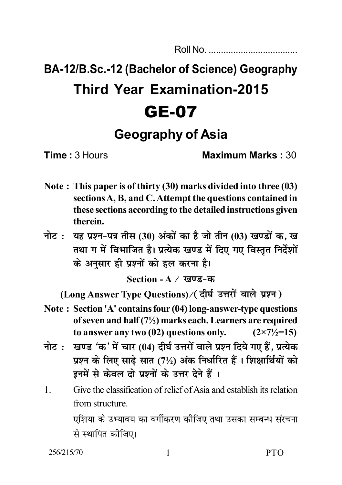Roll No. ....................................

## **BA-12/B.Sc.-12 (Bachelor of Science) Geography Third Year Examination-2015** GE-07

**Geography of Asia**

**Time :** 3 Hours **Maximum Marks :** 30

- **Note : This paper is of thirty (30) marks divided into three (03) sections A, B, and C. Attempt the questions contained in these sections according to the detailed instructions given therein.**
- **hic: यह प्रश्न-पत्र तीस (30) अंकों का है जो तीन (03) खण्डों क, ख** तथा ग में विभाजित है। प्रत्येक खण्ड में दिए गए विस्तृत निर्देशों के अनुसार ही प्रश्नों को **हल करना है।**

Section - A / खण्ड-क

(Long Answer Type Questions) / (दीर्घ उत्तरों वाले प्रश्न)

- **Note : Section 'A' contains four (04) long-answer-type questions of seven and half (7½) marks each. Learners are required** to answer any two  $(02)$  questions only.  $(2 \times 7 \frac{1}{2} = 15)$
- **नोट: खण्ड 'क' में चार (04) दीर्घ उत्तरों वाले प्रश्न दिये गए हैं, प्रत्येक uva के लिए साढे सात (7½) अंक निर्धारित हैं। शिक्षार्थियों को** इनमें से केवल दो प्रश्नों के उत्तर देने हैं।
- 1. Give the classification of relief of Asia and establish its relation from structure.

एशिया के उभ्यावय का वर्गीकरण कीजिए तथा उसका सम्बन्ध संरचना से स्थापित कीजिए।

256/215/70 1 PTO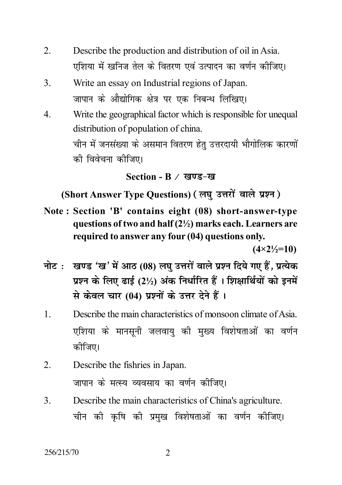- 2. Describe the production and distribution of oil in Asia. एशिया में खनिज तेल के वितरण एवं उत्पादन का वर्णन कीजिए।
- 3. Write an essay on Industrial regions of Japan. जापान के औद्योगिक क्षेत्र पर एक निबन्ध लिखिए।
- 4. Write the geographical factor which is responsible for unequal distribution of population of china. <u>चीन में जनसंख्या के असमान वितरण हेत उत्तरदायी भौगोलिक कारणों</u> को विवेचना कोजिए।

## **Section - B / खण्ड-ख**

(Short Answer Type Questions) (लघु उत्तरों वाले प्रश्न)

**Note : Section 'B' contains eight (08) short-answer-type questions of two and half (2½) marks each. Learners are required to answer any four (04) questions only.**

**(4×2½=10)**

- <u>नोट: खण्ड 'ख' में आठ (08) लघ</u> उत्तरों वाले प्रश्न दिये गए हैं, प्रत्येक  $\overline{y}$ ए के लिए ढाई (2½) अंक निर्धारित हैं। शिक्षार्थियों को इनमें  $\hat{H}$  केवल चार (04) प्रश्नों के उत्तर देने हैं।
- 1. Describe the main characteristics of monsoon climate of Asia. एशिया के मानसुनी जलवाय की मुख्य विशेषताओं का वर्णन कीजिए।
- 2. Describe the fishries in Japan. जापान के मत्स्य व्यवसाय का वर्णन कीजिए।
- 3. Describe the main characteristics of China's agriculture. चीन की कृषि की प्रमुख विशेषताओं का वर्णन कीजिए।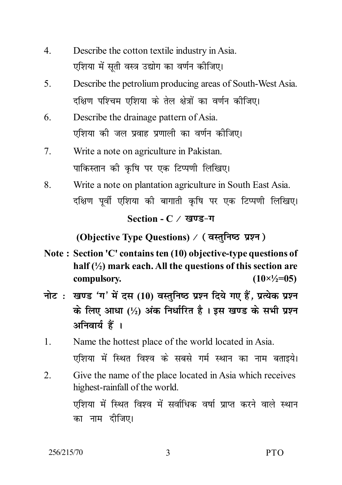- 4. Describe the cotton textile industry in Asia. एशिया में सती वस्त्र उद्योग का वर्णन कीजिए।
- 5. Describe the petrolium producing areas of South-West Asia. दक्षिण पश्चिम एशिया के तेल क्षेत्रों का वर्णन कीजिए।
- 6. Describe the drainage pattern of Asia. एशिया की जल प्रवाह प्रणाली का वर्णन कीजिए।
- 7. Write a note on agriculture in Pakistan. पाकिस्तान की कृषि पर एक टिप्पणी लिखिए।
- 8. Write a note on plantation agriculture in South East Asia. दक्षिण पूर्वी एशिया की बागाती कृषि पर एक टिप्पणी लिखिए।

Section - C / 
$$
\overline{g} \overline{v} \overline{s}
$$
- $\eta$ 

*(Objective Type Questions) / (वस्तुनिष्ठ प्रश्न)* 

- **Note : Section 'C' contains ten (10) objective-type questions of half (½) mark each. All the questions of this section are compulsory. (10×½=05)**
- <u>नोट: खण्ड 'ग' में दस (10) वस्तनिष्ठ प्रश्न दिये गए हैं. प्रत्येक प्रश्न</u>  $\dot{\boldsymbol{\alpha}}$  लिए आधा (½) अंक निर्धारित है। इस खण्ड के सभी प्रश्न अनिवार्य हैं ।
- 1. Name the hottest place of the world located in Asia. एशिया में स्थित विश्व के सबसे गर्म स्थान का नाम बताइये।
- 2. Give the name of the place located in Asia which receives highest-rainfall of the world. एशिया में स्थित विश्व में सर्वाधिक वर्षा प्राप्त करने वाले स्थान का नाम दीजिए।